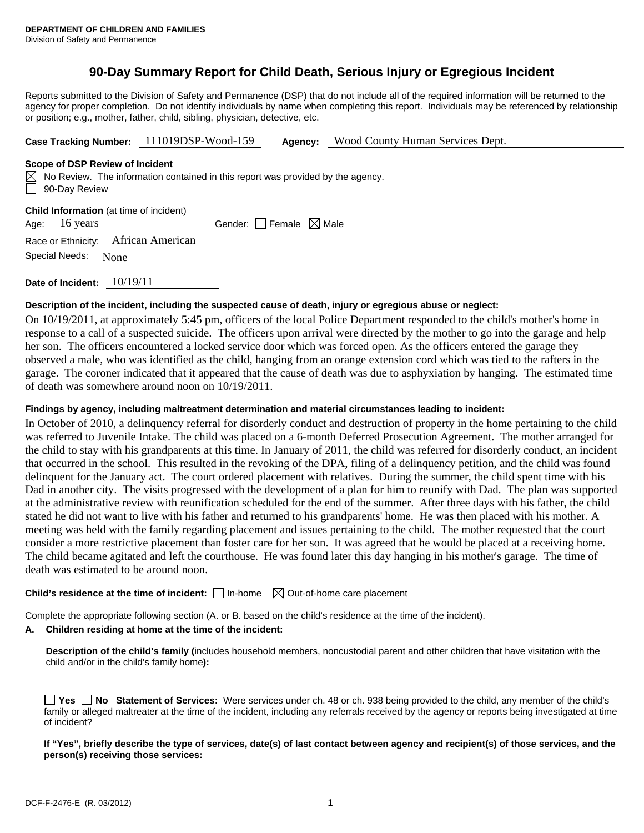# **90-Day Summary Report for Child Death, Serious Injury or Egregious Incident**

Reports submitted to the Division of Safety and Permanence (DSP) that do not include all of the required information will be returned to the agency for proper completion. Do not identify individuals by name when completing this report. Individuals may be referenced by relationship or position; e.g., mother, father, child, sibling, physician, detective, etc.

**Case Tracking Number:** 111019DSP-Wood-159 **Agency:** Wood County Human Services Dept.

#### **Scope of DSP Review of Incident**

|               | $\boxtimes$ No Review. The information contained in this report was provided by the agency. |
|---------------|---------------------------------------------------------------------------------------------|
| 90-Day Review |                                                                                             |

|  | Child Information (at time of incident) |
|--|-----------------------------------------|
|--|-----------------------------------------|

| Age: | 16 years | Gender: $\Box$ Female $\boxtimes$ Male |  |
|------|----------|----------------------------------------|--|
|------|----------|----------------------------------------|--|

Race or Ethnicity: African American

| Special Needs: | None |  |
|----------------|------|--|
|                |      |  |

**Date of Incident:** 10/19/11

## **Description of the incident, including the suspected cause of death, injury or egregious abuse or neglect:**

On 10/19/2011, at approximately 5:45 pm, officers of the local Police Department responded to the child's mother's home in response to a call of a suspected suicide. The officers upon arrival were directed by the mother to go into the garage and help her son. The officers encountered a locked service door which was forced open. As the officers entered the garage they observed a male, who was identified as the child, hanging from an orange extension cord which was tied to the rafters in the garage. The coroner indicated that it appeared that the cause of death was due to asphyxiation by hanging. The estimated time of death was somewhere around noon on 10/19/2011.

#### **Findings by agency, including maltreatment determination and material circumstances leading to incident:**

In October of 2010, a delinquency referral for disorderly conduct and destruction of property in the home pertaining to the child was referred to Juvenile Intake. The child was placed on a 6-month Deferred Prosecution Agreement. The mother arranged for the child to stay with his grandparents at this time. In January of 2011, the child was referred for disorderly conduct, an incident that occurred in the school. This resulted in the revoking of the DPA, filing of a delinquency petition, and the child was found delinquent for the January act. The court ordered placement with relatives. During the summer, the child spent time with his Dad in another city. The visits progressed with the development of a plan for him to reunify with Dad. The plan was supported at the administrative review with reunification scheduled for the end of the summer. After three days with his father, the child stated he did not want to live with his father and returned to his grandparents' home. He was then placed with his mother. A meeting was held with the family regarding placement and issues pertaining to the child. The mother requested that the court consider a more restrictive placement than foster care for her son. It was agreed that he would be placed at a receiving home. The child became agitated and left the courthouse. He was found later this day hanging in his mother's garage. The time of death was estimated to be around noon.

# **Child's residence at the time of incident:**  $\Box$  In-home  $\Box$  Out-of-home care placement

Complete the appropriate following section (A. or B. based on the child's residence at the time of the incident).

## **A. Children residing at home at the time of the incident:**

**Description of the child's family (**includes household members, noncustodial parent and other children that have visitation with the child and/or in the child's family home**):** 

|              |  |  |  |  | □ Yes □ No Statement of Services: Were services under ch. 48 or ch. 938 being provided to the child, any member of the child's                 |  |
|--------------|--|--|--|--|------------------------------------------------------------------------------------------------------------------------------------------------|--|
|              |  |  |  |  | family or alleged maltreater at the time of the incident, including any referrals received by the agency or reports being investigated at time |  |
| of incident? |  |  |  |  |                                                                                                                                                |  |

**If "Yes", briefly describe the type of services, date(s) of last contact between agency and recipient(s) of those services, and the person(s) receiving those services:**